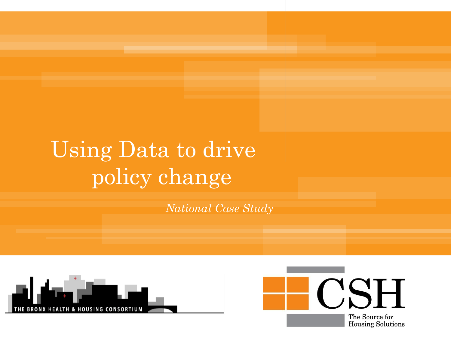# Using Data to drive policy change

*National Case Study*





**Housing Solutions**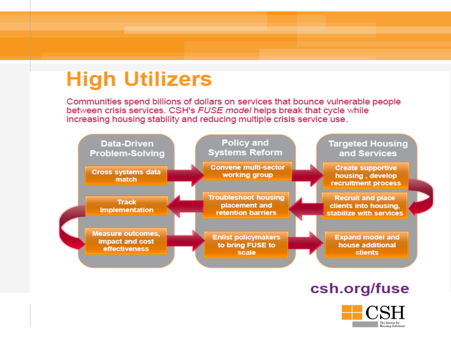# **High Utilizers**

Communities spend billions of dollars on services that bounce vulnerable people between crisis services. CSH's FUSE model helps break that cycle while increasing housing stability and reducing multiple crisis service use.



### csh.org/fuse

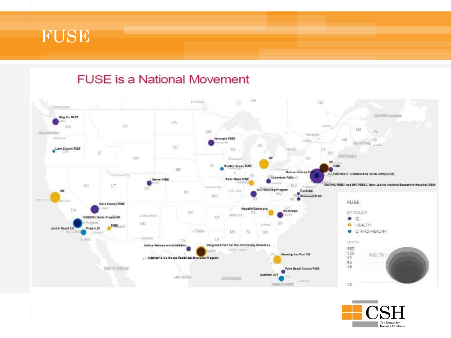

#### **FUSE is a National Movement**



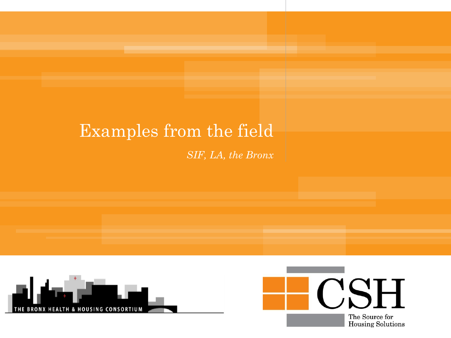### Examples from the field

*SIF, LA, the Bronx*





The Source for<br>Housing Solutions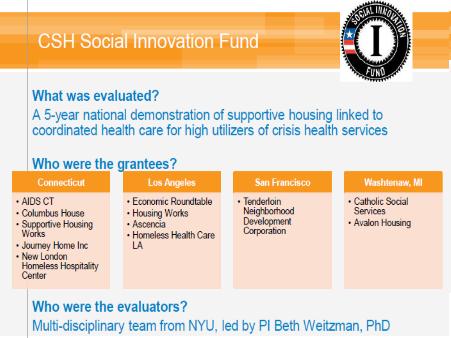## **CSH Social Innovation Fund**



### What was evaluated?

A 5-year national demonstration of supportive housing linked to coordinated health care for high utilizers of crisis health services

### Who were the grantees?

#### **San Francisco Connecticut Los Angeles** Washtenaw, MI · Economic Roundtable  $\cdot$  AIDS CT • Tenderloin • Catholic Social **Services** Neighborhood • Columbus House • Housing Works Development • Avalon Housing • Supportive Housing • Ascencia Corporation **Works** • Homeless Health Care • Journey Home Inc 1A • New London **Homeless Hospitality Center**

### Who were the evaluators?

Multi-disciplinary team from NYU, led by PI Beth Weitzman, PhD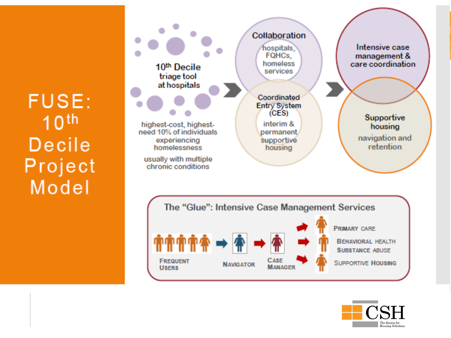**FUSE:**  $10<sup>th</sup>$ **Decile** Project Model



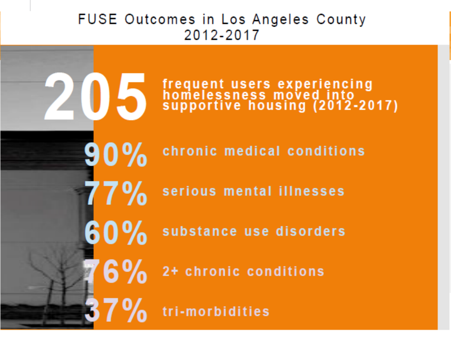### FUSE Outcomes in Los Angeles County 2012-2017

2014 Supportive housing (2012-2017)  $90\%$ chronic medical conditions 77% serious mental illnesses 60% substance use disorders  $6%$ 2+ chronic conditions tri-morbidities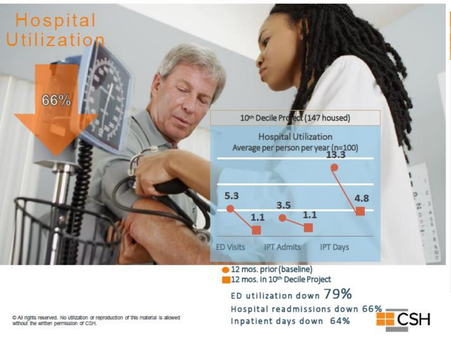## Hospital Utilization

66%



12 mos. prior (baseline) 12 mos. in 10th Decile Project

ED utilization down 79% Hospital readmissions down 66%

C All rights reserved. No utilization or reproduction of this material is allowed without the written permission of CSH.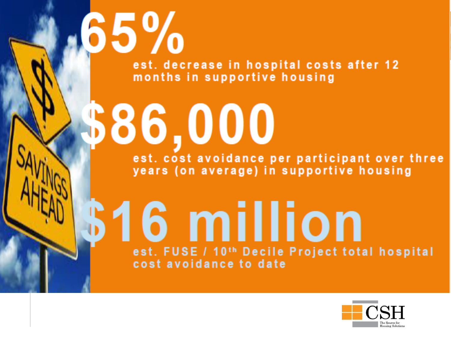# 65%

est. decrease in hospital costs after 12 months in supportive housing

# 586,000

est. cost avoidance per participant over three years (on average) in supportive housing

# 616 million est. FUSE / 10<sup>th</sup> Decile Project total hospital cost avoidance to date

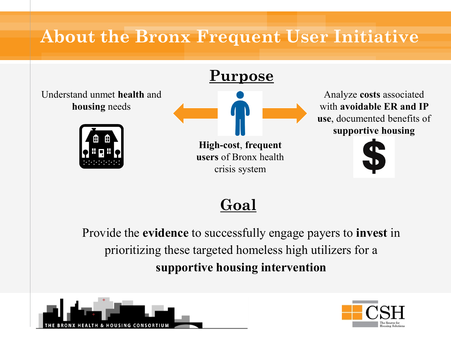### **About the Bronx Frequent User Initiative**

Understand unmet **health** and **housing** needs





**High-cost**, **frequent users** of Bronx health crisis system

Analyze **costs** associated with **avoidable ER and IP use**, documented benefits of **supportive housing**



### **Goal**

Provide the **evidence** to successfully engage payers to **invest** in prioritizing these targeted homeless high utilizers for a **supportive housing intervention** 



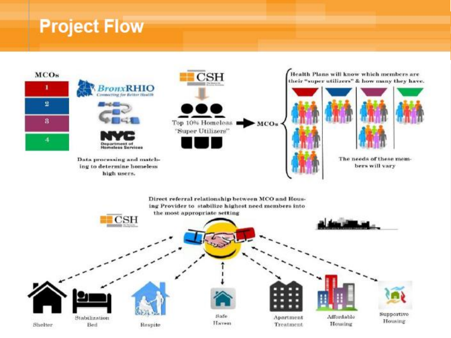### **Project Flow**

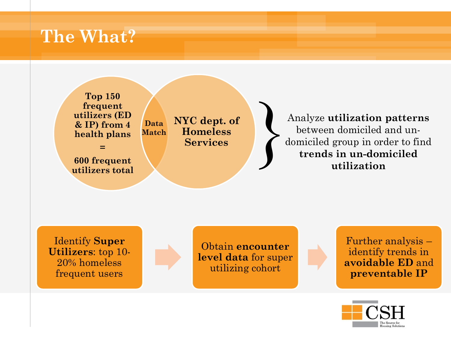### **The What?**



Identify **Super Utilizers**: top 10- 20% homeless frequent users

Obtain **encounter level data** for super utilizing cohort

Further analysis – identify trends in **avoidable ED** and **preventable IP**

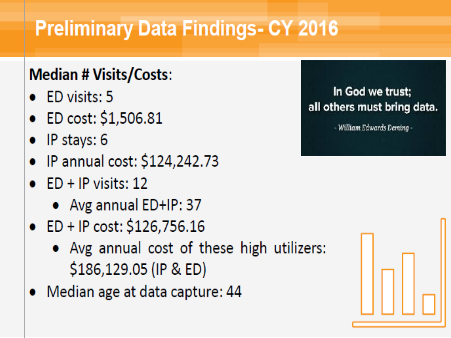# **Preliminary Data Findings- CY 2016**

### **Median # Visits/Costs:**

- $\bullet$  ED visits: 5
- ED cost:  $$1,506.81$
- IP stays: 6
- IP annual cost: \$124,242.73
- $ED + IP$  visits: 12
	- Avg annual ED+IP: 37
- ED + IP cost:  $$126,756.16$ 
	- Avg annual cost of these high utilizers:  $$186,129.05$  (IP & ED)
- Median age at data capture: 44

### In God we trust; all others must bring data.

- William Edwards Demina -

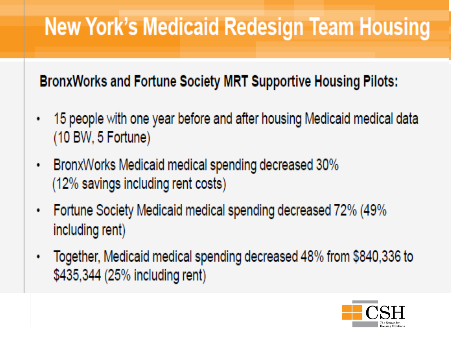# **New York's Medicaid Redesign Team Housing**

### **BronxWorks and Fortune Society MRT Supportive Housing Pilots:**

- 15 people with one year before and after housing Medicaid medical data (10 BW, 5 Fortune)
- BronxWorks Medicaid medical spending decreased 30% ۰ (12% savings including rent costs)
- Fortune Society Medicaid medical spending decreased 72% (49% ۰ including rent)
- Together, Medicaid medical spending decreased 48% from \$840,336 to \$435,344 (25% including rent)